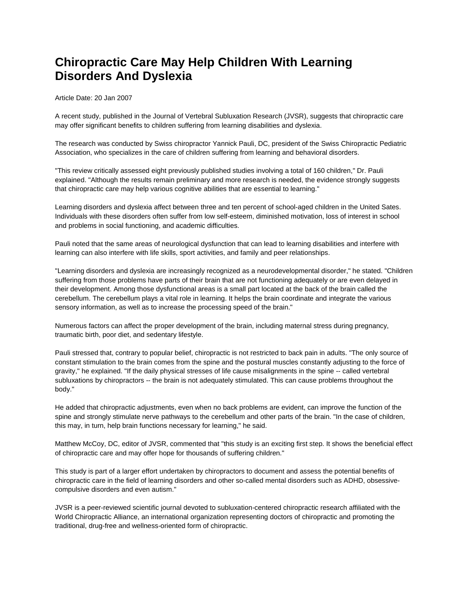## **Chiropractic Care May Help Children With Learning Disorders And Dyslexia**

Article Date: 20 Jan 2007

A recent study, published in the Journal of Vertebral Subluxation Research (JVSR), suggests that chiropractic care may offer significant benefits to children suffering from learning disabilities and dyslexia.

The research was conducted by Swiss chiropractor Yannick Pauli, DC, president of the Swiss Chiropractic Pediatric Association, who specializes in the care of children suffering from learning and behavioral disorders.

"This review critically assessed eight previously published studies involving a total of 160 children," Dr. Pauli explained. "Although the results remain preliminary and more research is needed, the evidence strongly suggests that chiropractic care may help various cognitive abilities that are essential to learning."

Learning disorders and dyslexia affect between three and ten percent of school-aged children in the United Sates. Individuals with these disorders often suffer from low self-esteem, diminished motivation, loss of interest in school and problems in social functioning, and academic difficulties.

Pauli noted that the same areas of neurological dysfunction that can lead to learning disabilities and interfere with learning can also interfere with life skills, sport activities, and family and peer relationships.

"Learning disorders and dyslexia are increasingly recognized as a neurodevelopmental disorder," he stated. "Children suffering from those problems have parts of their brain that are not functioning adequately or are even delayed in their development. Among those dysfunctional areas is a small part located at the back of the brain called the cerebellum. The cerebellum plays a vital role in learning. It helps the brain coordinate and integrate the various sensory information, as well as to increase the processing speed of the brain."

Numerous factors can affect the proper development of the brain, including maternal stress during pregnancy, traumatic birth, poor diet, and sedentary lifestyle.

Pauli stressed that, contrary to popular belief, chiropractic is not restricted to back pain in adults. "The only source of constant stimulation to the brain comes from the spine and the postural muscles constantly adjusting to the force of gravity," he explained. "If the daily physical stresses of life cause misalignments in the spine -- called vertebral subluxations by chiropractors -- the brain is not adequately stimulated. This can cause problems throughout the body."

He added that chiropractic adjustments, even when no back problems are evident, can improve the function of the spine and strongly stimulate nerve pathways to the cerebellum and other parts of the brain. "In the case of children, this may, in turn, help brain functions necessary for learning," he said.

Matthew McCoy, DC, editor of JVSR, commented that "this study is an exciting first step. It shows the beneficial effect of chiropractic care and may offer hope for thousands of suffering children."

This study is part of a larger effort undertaken by chiropractors to document and assess the potential benefits of chiropractic care in the field of learning disorders and other so-called mental disorders such as ADHD, obsessivecompulsive disorders and even autism."

JVSR is a peer-reviewed scientific journal devoted to subluxation-centered chiropractic research affiliated with the World Chiropractic Alliance, an international organization representing doctors of chiropractic and promoting the traditional, drug-free and wellness-oriented form of chiropractic.